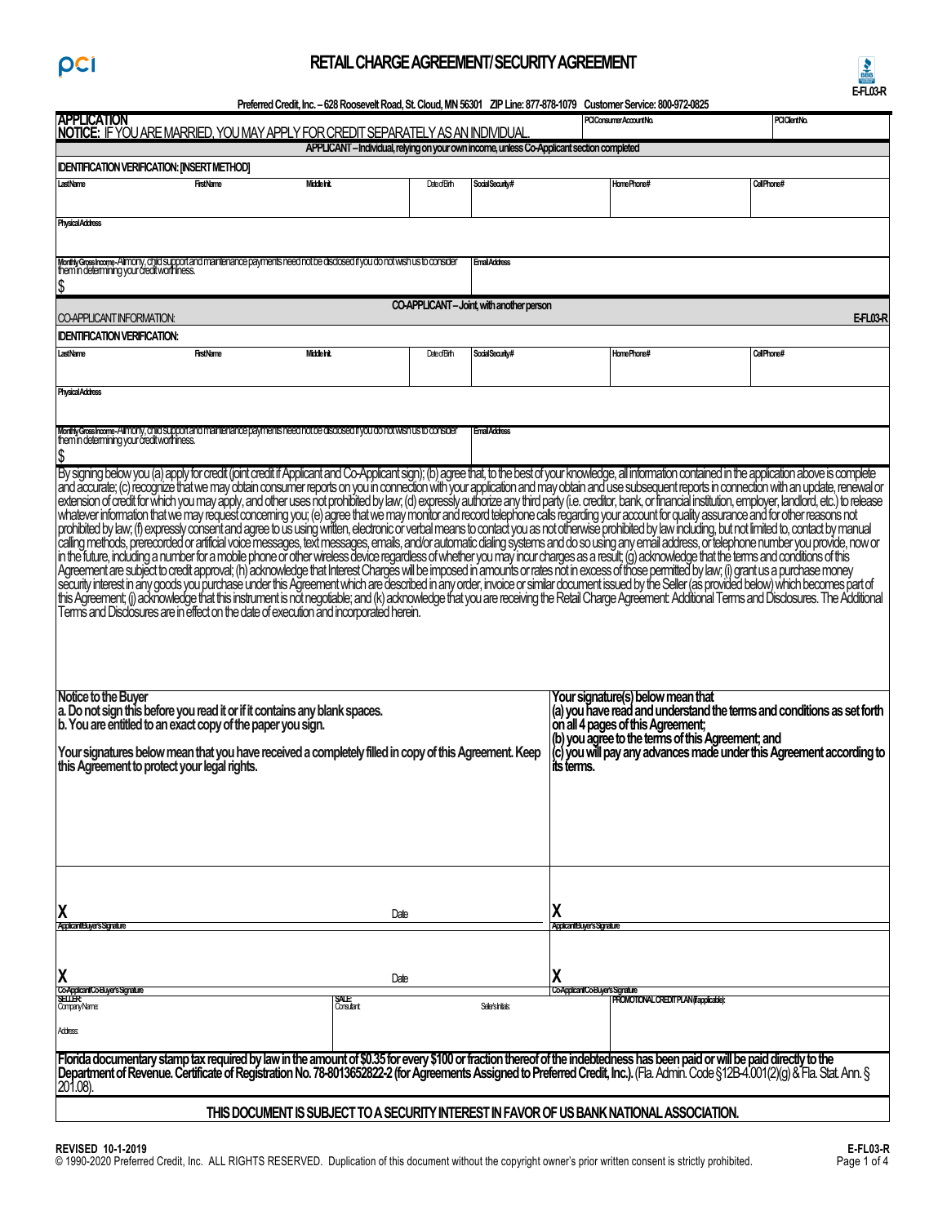# **RETAIL CHARGE AGREEMENT/ SECURITY AGREEMENT**



**Preferred Credit, Inc.–628 Roosevelt Road, St. Cloud, MN 56301 ZIP Line:877-878-1079 Customer Service: 800-972-0825** 

| <b>APPLICATION</b>                                                                                                                                                                                                                                                                                                                                                                                         |                   |                      |                        |                                       | Preferred Credit, Inc. - 628 Roosevelt Road, St. Cloud, MN 56301 ZIP Line: 877-878-1079 Customer Service: 800-972-0825<br>PCIConsumerAccountNo. | PCIClientNo.                                                           |
|------------------------------------------------------------------------------------------------------------------------------------------------------------------------------------------------------------------------------------------------------------------------------------------------------------------------------------------------------------------------------------------------------------|-------------------|----------------------|------------------------|---------------------------------------|-------------------------------------------------------------------------------------------------------------------------------------------------|------------------------------------------------------------------------|
| NOTICE: IF YOU ARE MARRIED, YOU MAY APPLY FOR CREDIT SEPARATELY AS AN INDIVIDUAL                                                                                                                                                                                                                                                                                                                           |                   |                      |                        |                                       |                                                                                                                                                 |                                                                        |
| APPLICANT - Individual, relying on your own income, unless Co-Applicant section completed                                                                                                                                                                                                                                                                                                                  |                   |                      |                        |                                       |                                                                                                                                                 |                                                                        |
| <b>IDENTIFICATION VERIFICATION: [INSERT METHOD]</b>                                                                                                                                                                                                                                                                                                                                                        |                   |                      |                        |                                       |                                                                                                                                                 |                                                                        |
| LastName<br>Middelnit.<br><b>FirstName</b>                                                                                                                                                                                                                                                                                                                                                                 |                   | <b>Date</b> of Birth | SocialSecurity#        |                                       | HomePhone#                                                                                                                                      | CellPhone#                                                             |
|                                                                                                                                                                                                                                                                                                                                                                                                            |                   |                      |                        |                                       |                                                                                                                                                 |                                                                        |
| <b>Physical Address</b>                                                                                                                                                                                                                                                                                                                                                                                    |                   |                      |                        |                                       |                                                                                                                                                 |                                                                        |
|                                                                                                                                                                                                                                                                                                                                                                                                            |                   |                      |                        |                                       |                                                                                                                                                 |                                                                        |
|                                                                                                                                                                                                                                                                                                                                                                                                            |                   |                      | <b>Email Address</b>   |                                       |                                                                                                                                                 |                                                                        |
| MonthyGrosshoome-Alimony, child support and maintenance payments need not be disclosed it you do not wish us to consider<br>them in determining your credit worthiness.                                                                                                                                                                                                                                    |                   |                      |                        |                                       |                                                                                                                                                 |                                                                        |
|                                                                                                                                                                                                                                                                                                                                                                                                            |                   |                      |                        |                                       |                                                                                                                                                 |                                                                        |
| CO APPLICANT-Joint, with another person<br>CO-APPLICANT INFORMATION:<br>EFL03R                                                                                                                                                                                                                                                                                                                             |                   |                      |                        |                                       |                                                                                                                                                 |                                                                        |
| <b>IDENTIFICATION VERIFICATION:</b>                                                                                                                                                                                                                                                                                                                                                                        |                   |                      |                        |                                       |                                                                                                                                                 |                                                                        |
| <b>FirstName</b><br>Middelnit.<br>LastName                                                                                                                                                                                                                                                                                                                                                                 |                   | <b>Date</b> of Birth | SocialSecurity#        |                                       | HomePhone#                                                                                                                                      | CellPhone#                                                             |
|                                                                                                                                                                                                                                                                                                                                                                                                            |                   |                      |                        |                                       |                                                                                                                                                 |                                                                        |
|                                                                                                                                                                                                                                                                                                                                                                                                            |                   |                      |                        |                                       |                                                                                                                                                 |                                                                        |
| <b>Physical Address</b>                                                                                                                                                                                                                                                                                                                                                                                    |                   |                      |                        |                                       |                                                                                                                                                 |                                                                        |
|                                                                                                                                                                                                                                                                                                                                                                                                            |                   |                      |                        |                                       |                                                                                                                                                 |                                                                        |
| MonthyGrosshoome-Almony, child support and maintenance payments need not be disclosed it you do not wish us to consider<br>them in determining your credit worthiness.                                                                                                                                                                                                                                     |                   |                      | <b>Email Address</b>   |                                       |                                                                                                                                                 |                                                                        |
| \$                                                                                                                                                                                                                                                                                                                                                                                                         |                   |                      |                        |                                       |                                                                                                                                                 |                                                                        |
| By signing below you (a) apply for credit (joint credit if Applicant and Co-Applicant sign); (b) agree that, to the best of your knowledge, all information contained in the application above is complete                                                                                                                                                                                                 |                   |                      |                        |                                       |                                                                                                                                                 |                                                                        |
| and accurate; (c) recognize that we may obtain consumer reports on you in connection with your application and may obtain and use subsequent reports in connection with an update, renewal or                                                                                                                                                                                                              |                   |                      |                        |                                       |                                                                                                                                                 |                                                                        |
| extension of credit for which you may apply, and other uses not prohibited by law, (d) expressly authorize any third party (i.e. creditor, bank, or financial institution, employer, landlord, etc.) to release<br>whatever information that we may request conceming you; (e) agree that we may monitor and record telephone calls regarding your account for quality assurance and for other reasons not |                   |                      |                        |                                       |                                                                                                                                                 |                                                                        |
| prohibited by law, (f) expressly consent and agree to us using written, electronic or verbal means to contact you as not otherwise prohibited by law including, but not limited to, contact by manual                                                                                                                                                                                                      |                   |                      |                        |                                       |                                                                                                                                                 |                                                                        |
| calling methods, prerecorded or artificial voice messages, text messages, emails, and/or automatic dialing systems and do so using any email address, or telephone number you provide, now or                                                                                                                                                                                                              |                   |                      |                        |                                       |                                                                                                                                                 |                                                                        |
| in the future, including a number for a mobile phone or other wireless device regardless of whether you may incur charges as a result; (g) acknowledge that the terms and conditions of this                                                                                                                                                                                                               |                   |                      |                        |                                       |                                                                                                                                                 |                                                                        |
| Agreement are subject to credit approval; (h) acknowledge that Interest Charges will be imposed in amounts or rates not in excess of those permitted by law; (i) grant us a purchase money                                                                                                                                                                                                                 |                   |                      |                        |                                       |                                                                                                                                                 |                                                                        |
| security interest in any goods you purchase under this Agreement which are described in any order, invoice or similar document issued by the Seller (as provided below) which becomes part of<br>It is Agreement, (i) advisored t                                                                                                                                                                          |                   |                      |                        |                                       |                                                                                                                                                 |                                                                        |
| Terms and Disclosures are in effect on the date of execution and incorporated herein.                                                                                                                                                                                                                                                                                                                      |                   |                      |                        |                                       |                                                                                                                                                 |                                                                        |
|                                                                                                                                                                                                                                                                                                                                                                                                            |                   |                      |                        |                                       |                                                                                                                                                 |                                                                        |
|                                                                                                                                                                                                                                                                                                                                                                                                            |                   |                      |                        |                                       |                                                                                                                                                 |                                                                        |
|                                                                                                                                                                                                                                                                                                                                                                                                            |                   |                      |                        |                                       |                                                                                                                                                 |                                                                        |
|                                                                                                                                                                                                                                                                                                                                                                                                            |                   |                      |                        |                                       |                                                                                                                                                 |                                                                        |
| Notice to the Buyer                                                                                                                                                                                                                                                                                                                                                                                        |                   |                      |                        |                                       | Your signature(s) below mean that                                                                                                               |                                                                        |
| a. Do not sign this before you read it or if it contains any blank spaces.                                                                                                                                                                                                                                                                                                                                 |                   |                      |                        |                                       |                                                                                                                                                 | (a) you have read and understand the terms and conditions as set forth |
| b. You are entitled to an exact copy of the paper you sign.                                                                                                                                                                                                                                                                                                                                                |                   |                      |                        |                                       | on all 4 pages of this Agreement;<br>(b) you agree to the terms of this Agreement; and                                                          |                                                                        |
| Your signatures below mean that you have received a completely filled in copy of this Agreement. Keep                                                                                                                                                                                                                                                                                                      |                   |                      |                        |                                       |                                                                                                                                                 | (c) you will pay any advances made under this Agreement according to   |
| this Agreement to protect your legal rights.                                                                                                                                                                                                                                                                                                                                                               |                   |                      |                        | its terms.                            |                                                                                                                                                 |                                                                        |
|                                                                                                                                                                                                                                                                                                                                                                                                            |                   |                      |                        |                                       |                                                                                                                                                 |                                                                        |
|                                                                                                                                                                                                                                                                                                                                                                                                            |                   |                      |                        |                                       |                                                                                                                                                 |                                                                        |
|                                                                                                                                                                                                                                                                                                                                                                                                            |                   |                      |                        |                                       |                                                                                                                                                 |                                                                        |
|                                                                                                                                                                                                                                                                                                                                                                                                            |                   |                      |                        |                                       |                                                                                                                                                 |                                                                        |
|                                                                                                                                                                                                                                                                                                                                                                                                            |                   |                      |                        |                                       |                                                                                                                                                 |                                                                        |
|                                                                                                                                                                                                                                                                                                                                                                                                            |                   |                      |                        |                                       |                                                                                                                                                 |                                                                        |
|                                                                                                                                                                                                                                                                                                                                                                                                            |                   |                      |                        |                                       |                                                                                                                                                 |                                                                        |
| X                                                                                                                                                                                                                                                                                                                                                                                                          | Date              |                      |                        |                                       |                                                                                                                                                 |                                                                        |
| Applicant/Buyer's Signature                                                                                                                                                                                                                                                                                                                                                                                |                   |                      |                        | Applicant/Buyer's Signature           |                                                                                                                                                 |                                                                        |
|                                                                                                                                                                                                                                                                                                                                                                                                            |                   |                      |                        |                                       |                                                                                                                                                 |                                                                        |
|                                                                                                                                                                                                                                                                                                                                                                                                            |                   |                      |                        |                                       |                                                                                                                                                 |                                                                        |
| X                                                                                                                                                                                                                                                                                                                                                                                                          | Date              |                      |                        | χ                                     |                                                                                                                                                 |                                                                        |
| Co Applicant Co Buyer's Signature<br>SELLER                                                                                                                                                                                                                                                                                                                                                                | SALE              |                      |                        | <b>Co AmicantCo Buyer's Signature</b> | PROMOTIONAL CREDIT PLAN (frapplicable):                                                                                                         |                                                                        |
| CompanyName:                                                                                                                                                                                                                                                                                                                                                                                               | <b>Consultant</b> |                      | <b>Seler's hitels:</b> |                                       |                                                                                                                                                 |                                                                        |
| <b>Address</b>                                                                                                                                                                                                                                                                                                                                                                                             |                   |                      |                        |                                       |                                                                                                                                                 |                                                                        |
|                                                                                                                                                                                                                                                                                                                                                                                                            |                   |                      |                        |                                       |                                                                                                                                                 |                                                                        |
| [Florida documentary stamp tax required by law in the amount of \$0.35 for every \$100 or fraction thereof of the indebtedness has been paid or will be paid directly to the<br>Department of Revenue. Certificate of Registration No. 78-8013652822-2 (for Agreements Assigned to Preferred Credit, Inc.). (Fla. Admin. Code §12B-4.001(2)(g) & Fla. Stat. Ann. §                                         |                   |                      |                        |                                       |                                                                                                                                                 |                                                                        |
|                                                                                                                                                                                                                                                                                                                                                                                                            |                   |                      |                        |                                       |                                                                                                                                                 |                                                                        |
|                                                                                                                                                                                                                                                                                                                                                                                                            |                   |                      |                        |                                       |                                                                                                                                                 |                                                                        |
| THIS DOCUMENT IS SUBJECT TO A SECURITY INTEREST IN FAVOR OF US BANK NATIONAL ASSOCIATION.                                                                                                                                                                                                                                                                                                                  |                   |                      |                        |                                       |                                                                                                                                                 |                                                                        |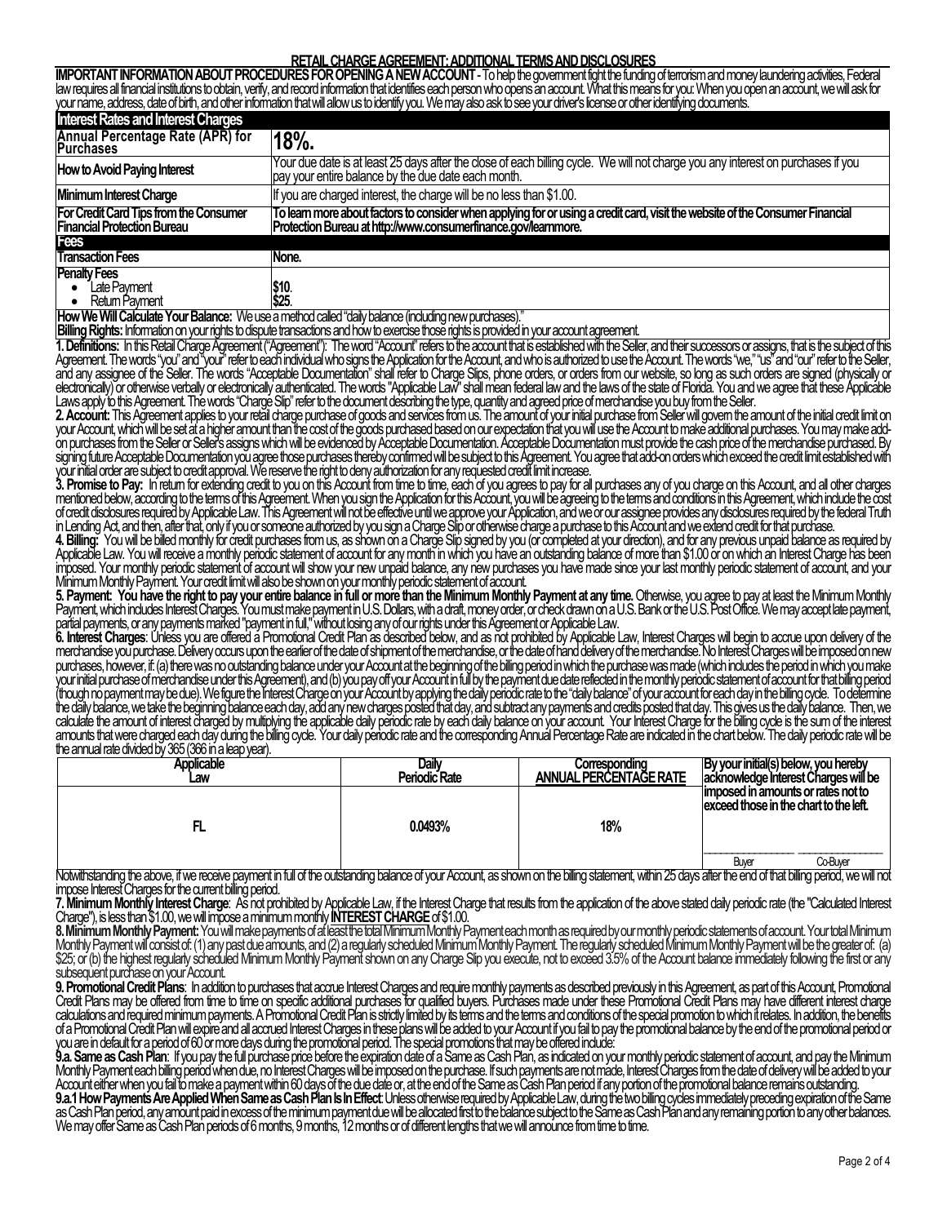# **RETAIL CHARGE AGREEMENT: ADDITIONAL TERMS AND DISCLOSURES**

IMPORTANT INFORMATION ABOUT PROCEDURES FOR OPENING A NEW ACCOUNT - To help the government fight the funding of terrorism and money laundering adivities, Federal<br>law requires all financial institutions to obtain, verify, an

| <b>Interest Rates and Interest Charges</b>                                          |                                                                                                                                                                                                |  |  |
|-------------------------------------------------------------------------------------|------------------------------------------------------------------------------------------------------------------------------------------------------------------------------------------------|--|--|
| Annual Percentage Rate (APR) for<br>Purchases                                       | 18%                                                                                                                                                                                            |  |  |
| How to Avoid Paying Interest                                                        | Your due date is at least 25 days after the close of each billing cycle. We will not charge you any interest on purchases if you<br>pay your entire balance by the due date each month.        |  |  |
| Minimum Interest Charge                                                             | If you are charged interest, the charge will be no less than \$1.00.                                                                                                                           |  |  |
| <b>For Credit Card Tips from the Consumer</b><br><b>Financial Protection Bureau</b> | To leam more about factors to consider when applying for or using a credit card, visit the website of the Consumer Financial<br>Protection Bureau at http://www.consumerfinance.gov/learnmore. |  |  |
| Fees                                                                                |                                                                                                                                                                                                |  |  |
| <b>Transaction Fees</b>                                                             | None.                                                                                                                                                                                          |  |  |
| <b>Penalty Fees</b><br>Late Pavment<br>Retum Payment                                | \$10.<br>\$25.                                                                                                                                                                                 |  |  |

**How We Will Calculate Your Balance:** We use a method called "daily balance (including new purchases)."

**Billing Rights:** Information on your rights to dispute transactions and how to exercise those rights is provided in your account agreement.

**T. Definitions:** In this Retail Charge Agreement ("Agreement"): The word "Account" refers to the account that is established with the Seller, and their successors or assigns, that is the subject of this<br>Agreement. The wor

electronically) or otherwise verbally or electronically authenticated. The words "Applicable Law" shall mean federal law and the laws of the state of Florida. You and we agree that these Applicable<br>Laws apply to this Agree

your initial order are subject to credit approval. We reserve the right to deny authorization for any requested credit limit increase.<br>3. **Promise to Pay:** In return for extending credit to you on this Account from time to

mentioned below, according to the terms of this Agreement. When you sign the Application for this Account, you will be agreeing to the terms and conditions in this Agreement, which include the cost<br>of credit disclosures re

merchandise you purchase. Delivery occurs upon the earlier of the date of shipment of the merchandise, or the date of hand delivery of the merchandise. No Interest Charges will be imposed on new<br>purchases, however, if: (a) the annual rate divided by 365 (366 in a leap year).

| <b>Applicable</b><br>Law | Daily<br>Periodic Rate | Correspondina<br>ANNUAL PERCENTAGE RATE | By your initial(s) below, you hereby<br>acknowledge Interest Charges will be  |
|--------------------------|------------------------|-----------------------------------------|-------------------------------------------------------------------------------|
|                          | 0.0493%                | 18%                                     | limposed in amounts or rates not to<br>exceed those in the chart to the left. |
| .<br>- 111               |                        | $T$ $\sim$<br>- 702                     | Co-Buver<br>Buver                                                             |

Notwithstanding the above, if we receive payment in full of the outstanding balance of your Account, as shown on the billing statement, within 25 days after the end of that billing period, we will not<br>impose Interest Charg

7. Minimum Monthly Interest Charge: As not prohibited by Applicable Law, if the Interest Charge that results from the application of the above stated daily periodic rate (the "Calculated Interest<br>Charge"), is less than \$1.

**8. Minimum Monthly Payment:** You will make payments of at least the total Minimum Monthly Payment each month as required by our monthly periodic statements of account. Your total Minimum Monthly Payment will consist of: (1) any past due amounts, and (2) a regularly scheduled Minimum Monthly Payment. The regularly scheduled Minimum Monthly Payment will be the greater of: (a)<br>\$25; or (b) the highest regularl

9. Promotional Credit Plans: In addition to purchases that acque Interest Charges and require monthly payments as described previously in this Agreement, as part of this Account, Promotional Credit Plans: In addition to pu

Monthly Payment each billing period when due, no Interest Charges will be imposed on the purchase. If such payments are not made, Interest Charges from the date of delivery will be added to your<br>Account either when you fai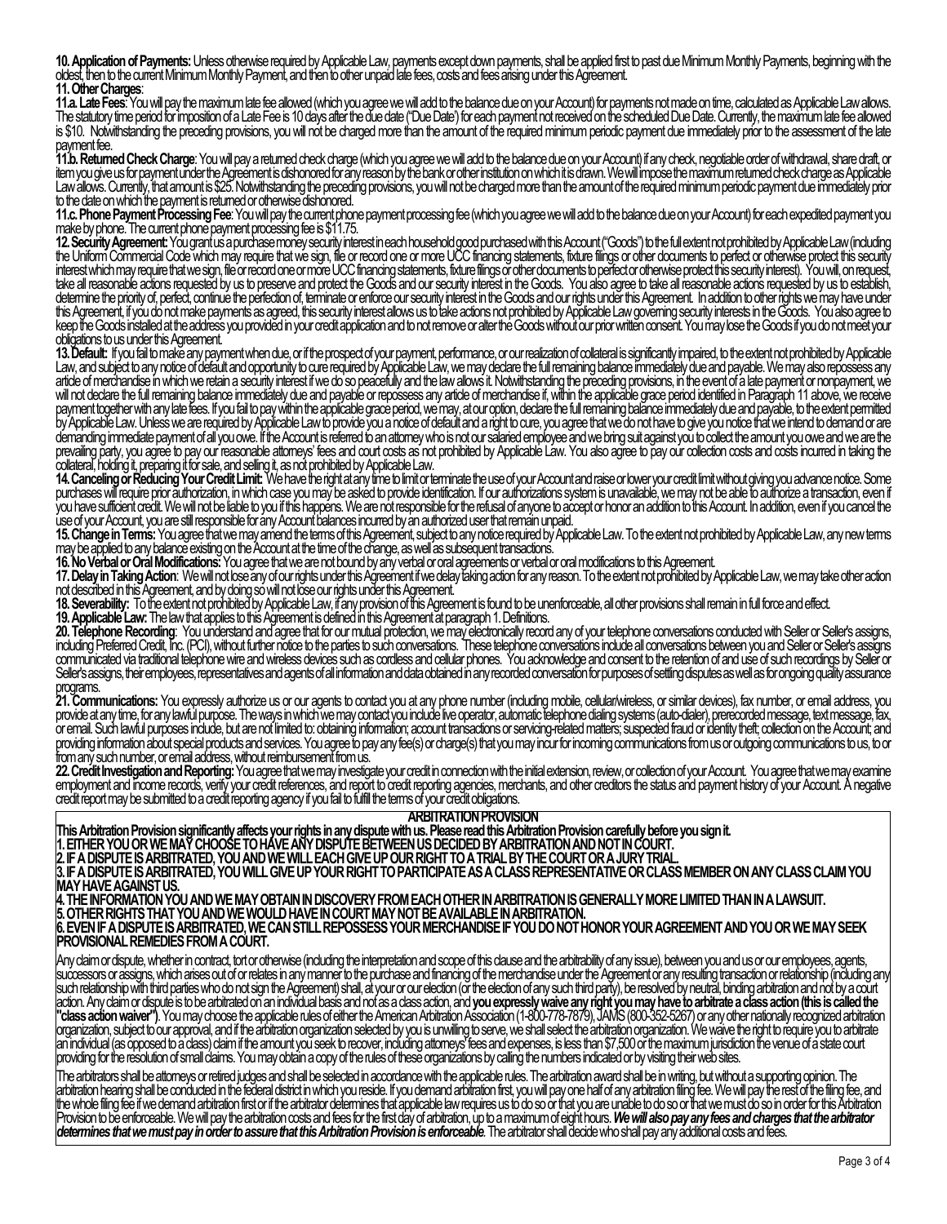**10. Application of Payments:** Unless otherwise required by Applicable Law, payments except down payments, shall be applied first to past due Minimum Monthly Payments, beginning with the<br>oldest, then to the current Minimum **11. Other Charges**:

11.a. Late Fees. You will pay the maximum late fee allowed (which you agree we will add to the balance due on your Account) for payments not made on time, calculated as Applicable Law allows.<br>The statutory time period for

**11.b. Returned Check Charge**: You will pay a returned check charge (which you agree we will add to the balance due on your Account) if any check, negotiable order of withdrawal, share draft, or item you give us for payment under the Agreement is dishonored for any reason by the bank or other institution on which it is drawn. We will impose the maximum returned check charge as Applicable<br>Law allows. Currently, tha

11.c. Phone Payment Processing Fee: You will pay the current phone payment processing fee (which you agree we will add to the balance due on your Account) for each expedited payment you<br>make by phone. The current phone pay

the Uniform Commercial Code which may require that we sign, file or record one or more UCC financing statements, fixture filings or other documents to perfect or otherwise protect this security interest which may require t

Law, and subject to any notice of default and opportunity to cure required by Applicable Law, we may declare the full remaining balance immediately due and payable. We may also repossess any article of merchandise in which

purchases will require prior authorization, in which case you may be asked to provide identification. If our authorizations system is unavailable, we may not be able to authorize a transaction, even if<br>you have sufficient

**15. Change in Terms:** You agree that we may amend the terms of this Agreement, subject to any notice required by Applicable Law. To the extent not prohibited by Applicable Law, any new terms<br>may be applied to any balance

17. Delay in Taking Action: We will not lose any of our rights under this Agreement if we delay taking action for any reason. To the extent not prohibited by Applicable Law, we may take other action

not described in this Agreement, and by doing so will not lose our rights under this Agreement.<br>**18. Severability:** To the extent not prohibited by Applicable Law, if any provision of this Agreement is found to be unenforc

20. Telephone Recording: You understand and agree that for our mutual protection, we may electronically record any of your telephone conversations conducted with Seller or Seller's assigns, including Preferred Credit, Inc. programs.

**21. Communications:** You expressly authorize us or our agents to contact you at any phone number (including mobile, cellular/wireless, or similar devices), fax number, or email address, you<br>provide at any time, for any la

from any such number, or email address, without reimbursement from us.<br>22. Credit Investigation and Reporting: You agree that we may investigate your credit in connection with the initial extension, review, or collection o

### **ARBITRATION PROVISION**

This Arbitration Provision significantly affects your rights in any dispute with us. Please read this Arbitration Provision carefully before you sign it.<br>1. EITHER YOU OR WE MAY CHOOSE TO HAVE ANY DISPUTE BETWEEN US DECIDE

**2. IF A DISPUTE IS ARBITRATED, YOU AND WE WILL EACH GIVE UP OUR RIGHT TO A TRIAL BY THE COURT OR A JURY TRIAL.** 

**3. IF A DISPUTE IS ARBITRATED, YOU WILL GIVE UP YOUR RIGHT TO PARTICIPATE AS A CLASS REPRESENTATIVE OR CLASS MEMBER ON ANY CLASS CLAIM YOU MAY HAVE AGAINST US.** 

**4. THE INFORMATION YOU AND WE MAY OBTAIN IN DISCOVERY FROM EACH OTHER IN ARBITRATION IS GENERALLY MORE LIMITED THAN IN A LAWSUIT. 5. OTHER RIGHTS THAT YOU AND WE WOULD HAVE IN COURT MAY NOT BE AVAILABLE IN ARBITRATION.** 

**6. EVEN IF A DISPUTE IS ARBITRATED, WE CAN STILL REPOSSESS YOUR MERCHANDISE IF YOU DO NOT HONOR YOUR AGREEMENT AND YOU OR WE MAY SEEK PROVISIONAL REMEDIES FROM A COURT.** 

Any daim or dispute, whether in contract, tot or otherwise (including the interpretation and scope of this clause and the arbitrability of any issue), between you and us or our employees, agents,<br>successors or assigns, whi

The arbitrators shall be attomeys or retired judges and shall be selected in accordance with the applicable rules. The arbitration award shall be in writing, but without a supporting opinion. The<br>arbitration hearing shall